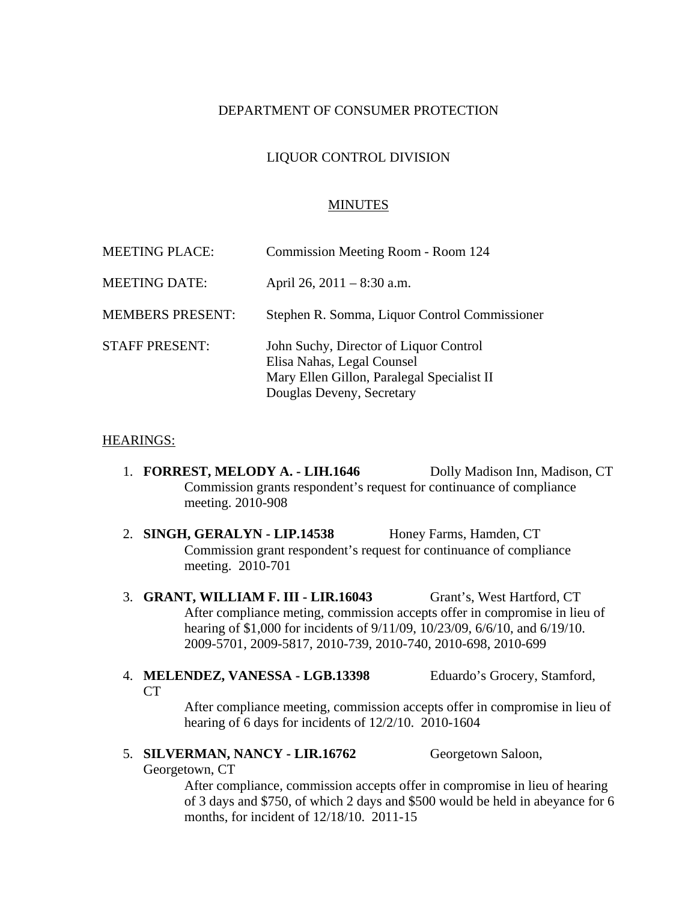## DEPARTMENT OF CONSUMER PROTECTION

# LIQUOR CONTROL DIVISION

### MINUTES

| <b>MEETING PLACE:</b>   | Commission Meeting Room - Room 124                                                                                                              |
|-------------------------|-------------------------------------------------------------------------------------------------------------------------------------------------|
| <b>MEETING DATE:</b>    | April 26, 2011 – 8:30 a.m.                                                                                                                      |
| <b>MEMBERS PRESENT:</b> | Stephen R. Somma, Liquor Control Commissioner                                                                                                   |
| <b>STAFF PRESENT:</b>   | John Suchy, Director of Liquor Control<br>Elisa Nahas, Legal Counsel<br>Mary Ellen Gillon, Paralegal Specialist II<br>Douglas Deveny, Secretary |

#### HEARINGS:

- 1. **FORREST, MELODY A. LIH.1646** Dolly Madison Inn, Madison, CT Commission grants respondent's request for continuance of compliance meeting. 2010-908
- 2. **SINGH, GERALYN LIP.14538** Honey Farms, Hamden, CT Commission grant respondent's request for continuance of compliance meeting. 2010-701
- 3. **GRANT, WILLIAM F. III LIR.16043** Grant's, West Hartford, CT After compliance meting, commission accepts offer in compromise in lieu of hearing of \$1,000 for incidents of 9/11/09, 10/23/09, 6/6/10, and 6/19/10. 2009-5701, 2009-5817, 2010-739, 2010-740, 2010-698, 2010-699
- 4. **MELENDEZ, VANESSA LGB.13398** Eduardo's Grocery, Stamford,  $CT$

After compliance meeting, commission accepts offer in compromise in lieu of hearing of 6 days for incidents of 12/2/10. 2010-1604

5. **SILVERMAN, NANCY - LIR.16762** Georgetown Saloon,

Georgetown, CT

After compliance, commission accepts offer in compromise in lieu of hearing of 3 days and \$750, of which 2 days and \$500 would be held in abeyance for 6 months, for incident of 12/18/10. 2011-15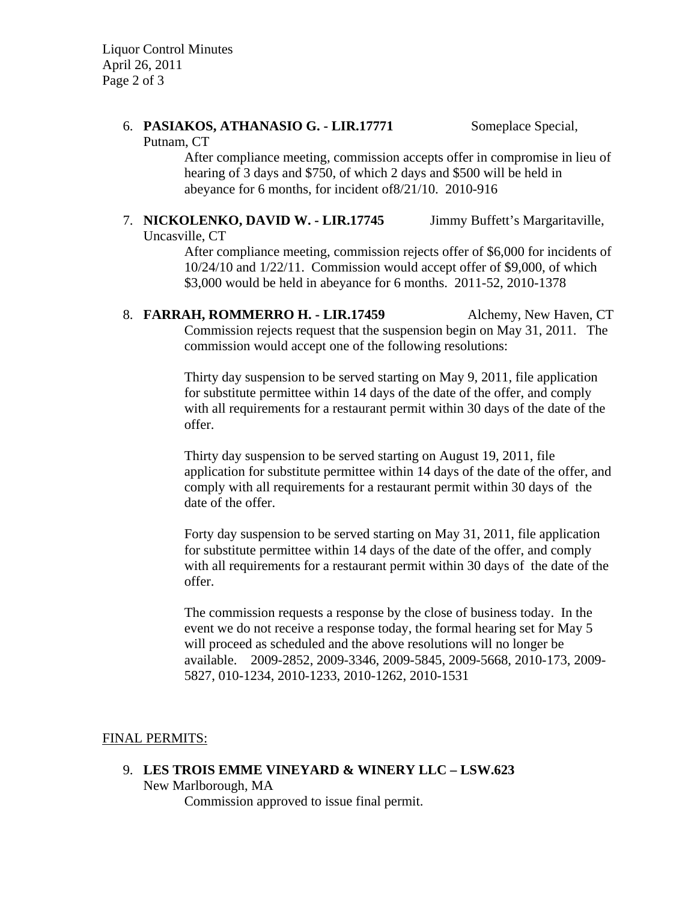Liquor Control Minutes April 26, 2011 Page 2 of 3

# 6. **PASIAKOS, ATHANASIO G. - LIR.17771** Someplace Special,

Putnam, CT

After compliance meeting, commission accepts offer in compromise in lieu of hearing of 3 days and \$750, of which 2 days and \$500 will be held in abeyance for 6 months, for incident of8/21/10. 2010-916

### 7. **NICKOLENKO, DAVID W. - LIR.17745** Jimmy Buffett's Margaritaville, Uncasville, CT

After compliance meeting, commission rejects offer of \$6,000 for incidents of 10/24/10 and 1/22/11. Commission would accept offer of \$9,000, of which \$3,000 would be held in abeyance for 6 months. 2011-52, 2010-1378

8. **FARRAH, ROMMERRO H. - LIR.17459** Alchemy, New Haven, CT Commission rejects request that the suspension begin on May 31, 2011. The commission would accept one of the following resolutions:

> Thirty day suspension to be served starting on May 9, 2011, file application for substitute permittee within 14 days of the date of the offer, and comply with all requirements for a restaurant permit within 30 days of the date of the offer.

Thirty day suspension to be served starting on August 19, 2011, file application for substitute permittee within 14 days of the date of the offer, and comply with all requirements for a restaurant permit within 30 days of the date of the offer.

Forty day suspension to be served starting on May 31, 2011, file application for substitute permittee within 14 days of the date of the offer, and comply with all requirements for a restaurant permit within 30 days of the date of the offer.

The commission requests a response by the close of business today. In the event we do not receive a response today, the formal hearing set for May 5 will proceed as scheduled and the above resolutions will no longer be available. 2009-2852, 2009-3346, 2009-5845, 2009-5668, 2010-173, 2009- 5827, 010-1234, 2010-1233, 2010-1262, 2010-1531

# FINAL PERMITS:

9. **LES TROIS EMME VINEYARD & WINERY LLC – LSW.623**  New Marlborough, MA Commission approved to issue final permit.